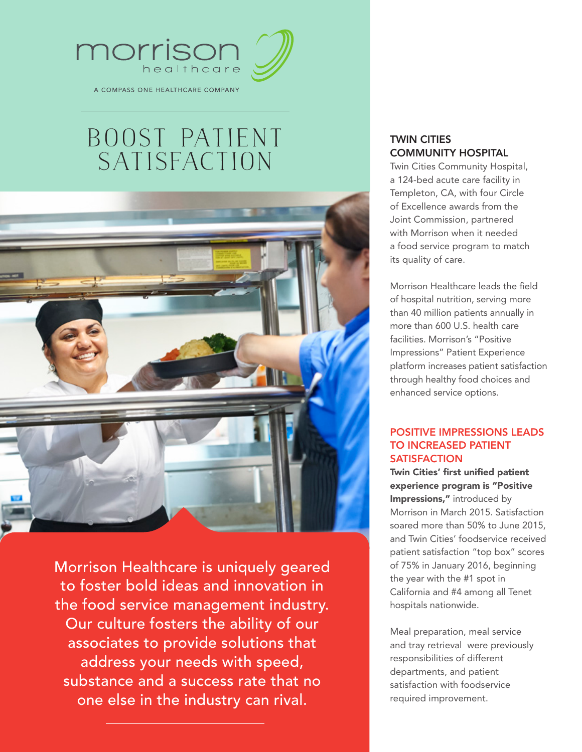

A COMPASS ONE HEALTHCARE COMPANY

## BOOST PATIENT SATISFACTION



Morrison Healthcare is uniquely geared to foster bold ideas and innovation in the food service management industry. Our culture fosters the ability of our associates to provide solutions that address your needs with speed, substance and a success rate that no one else in the industry can rival.

## TWIN CITIES COMMUNITY HOSPITAL

Twin Cities Community Hospital, a 124-bed acute care facility in Templeton, CA, with four Circle of Excellence awards from the Joint Commission, partnered with Morrison when it needed a food service program to match its quality of care.

Morrison Healthcare leads the field of hospital nutrition, serving more than 40 million patients annually in more than 600 U.S. health care facilities. Morrison's "Positive Impressions" Patient Experience platform increases patient satisfaction through healthy food choices and enhanced service options.

## POSITIVE IMPRESSIONS LEADS TO INCREASED PATIENT **SATISFACTION**

Twin Cities' first unified patient experience program is "Positive Impressions," introduced by Morrison in March 2015. Satisfaction soared more than 50% to June 2015, and Twin Cities' foodservice received patient satisfaction "top box" scores of 75% in January 2016, beginning the year with the #1 spot in California and #4 among all Tenet hospitals nationwide.

Meal preparation, meal service and tray retrieval were previously responsibilities of different departments, and patient satisfaction with foodservice required improvement.